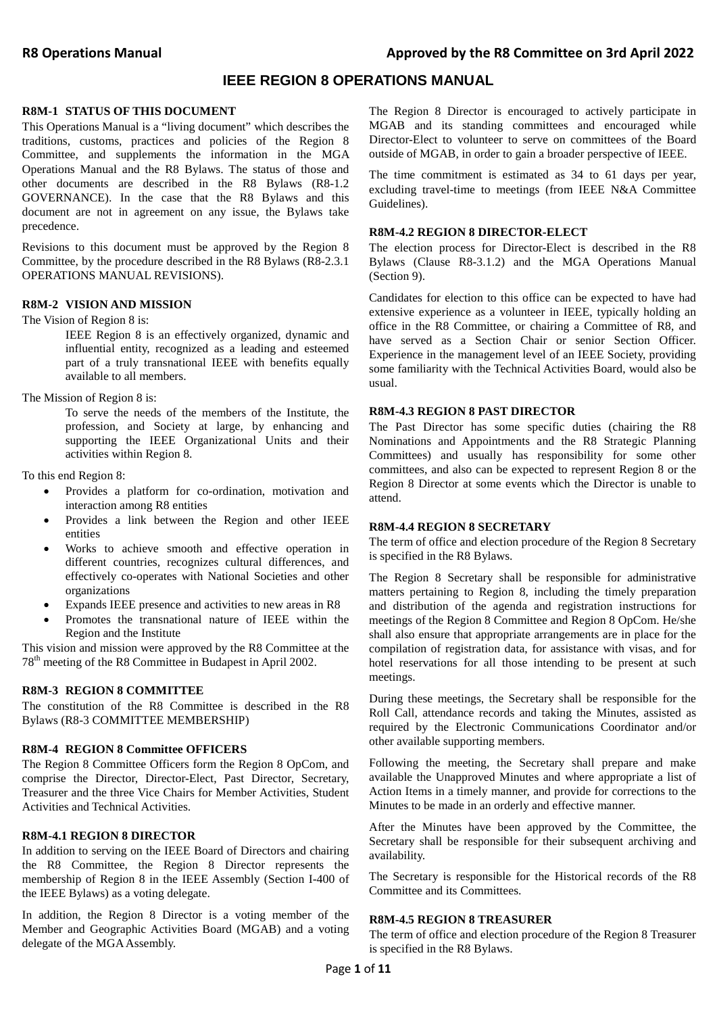## **IEEE REGION 8 OPERATIONS MANUAL**

#### **R8M-1 STATUS OF THIS DOCUMENT**

This Operations Manual is a "living document" which describes the traditions, customs, practices and policies of the Region 8 Committee, and supplements the information in the MGA Operations Manual and the R8 Bylaws. The status of those and other documents are described in the R8 Bylaws (R8-1.2 GOVERNANCE). In the case that the R8 Bylaws and this document are not in agreement on any issue, the Bylaws take precedence.

Revisions to this document must be approved by the Region 8 Committee, by the procedure described in the R8 Bylaws (R8-2.3.1 OPERATIONS MANUAL REVISIONS).

#### **R8M-2 VISION AND MISSION**

The Vision of Region 8 is:

IEEE Region 8 is an effectively organized, dynamic and influential entity, recognized as a leading and esteemed part of a truly transnational IEEE with benefits equally available to all members.

The Mission of Region 8 is:

To serve the needs of the members of the Institute, the profession, and Society at large, by enhancing and supporting the IEEE Organizational Units and their activities within Region 8.

To this end Region 8:

- Provides a platform for co-ordination, motivation and interaction among R8 entities
- Provides a link between the Region and other IEEE entities
- Works to achieve smooth and effective operation in different countries, recognizes cultural differences, and effectively co-operates with National Societies and other organizations
- Expands IEEE presence and activities to new areas in R8
- Promotes the transnational nature of IEEE within the Region and the Institute

This vision and mission were approved by the R8 Committee at the 78th meeting of the R8 Committee in Budapest in April 2002.

### **R8M-3 REGION 8 COMMITTEE**

The constitution of the R8 Committee is described in the R8 Bylaws (R8-3 COMMITTEE MEMBERSHIP)

### **R8M-4 REGION 8 Committee OFFICERS**

The Region 8 Committee Officers form the Region 8 OpCom, and comprise the Director, Director-Elect, Past Director, Secretary, Treasurer and the three Vice Chairs for Member Activities, Student Activities and Technical Activities.

### **R8M-4.1 REGION 8 DIRECTOR**

In addition to serving on the IEEE Board of Directors and chairing the R8 Committee, the Region 8 Director represents the membership of Region 8 in the IEEE Assembly (Section I-400 of the IEEE Bylaws) as a voting delegate.

In addition, the Region 8 Director is a voting member of the Member and Geographic Activities Board (MGAB) and a voting delegate of the MGA Assembly.

The Region 8 Director is encouraged to actively participate in MGAB and its standing committees and encouraged while Director-Elect to volunteer to serve on committees of the Board outside of MGAB, in order to gain a broader perspective of IEEE.

The time commitment is estimated as 34 to 61 days per year, excluding travel-time to meetings (from IEEE N&A Committee Guidelines).

#### **R8M-4.2 REGION 8 DIRECTOR-ELECT**

The election process for Director-Elect is described in the R8 Bylaws (Clause R8-3.1.2) and the MGA Operations Manual (Section 9).

Candidates for election to this office can be expected to have had extensive experience as a volunteer in IEEE, typically holding an office in the R8 Committee, or chairing a Committee of R8, and have served as a Section Chair or senior Section Officer. Experience in the management level of an IEEE Society, providing some familiarity with the Technical Activities Board, would also be usual.

#### **R8M-4.3 REGION 8 PAST DIRECTOR**

The Past Director has some specific duties (chairing the R8 Nominations and Appointments and the R8 Strategic Planning Committees) and usually has responsibility for some other committees, and also can be expected to represent Region 8 or the Region 8 Director at some events which the Director is unable to attend.

#### **R8M-4.4 REGION 8 SECRETARY**

The term of office and election procedure of the Region 8 Secretary is specified in the R8 Bylaws.

The Region 8 Secretary shall be responsible for administrative matters pertaining to Region 8, including the timely preparation and distribution of the agenda and registration instructions for meetings of the Region 8 Committee and Region 8 OpCom. He/she shall also ensure that appropriate arrangements are in place for the compilation of registration data, for assistance with visas, and for hotel reservations for all those intending to be present at such meetings.

During these meetings, the Secretary shall be responsible for the Roll Call, attendance records and taking the Minutes, assisted as required by the Electronic Communications Coordinator and/or other available supporting members.

Following the meeting, the Secretary shall prepare and make available the Unapproved Minutes and where appropriate a list of Action Items in a timely manner, and provide for corrections to the Minutes to be made in an orderly and effective manner.

After the Minutes have been approved by the Committee, the Secretary shall be responsible for their subsequent archiving and availability.

The Secretary is responsible for the Historical records of the R8 Committee and its Committees.

#### **R8M-4.5 REGION 8 TREASURER**

The term of office and election procedure of the Region 8 Treasurer is specified in the R8 Bylaws.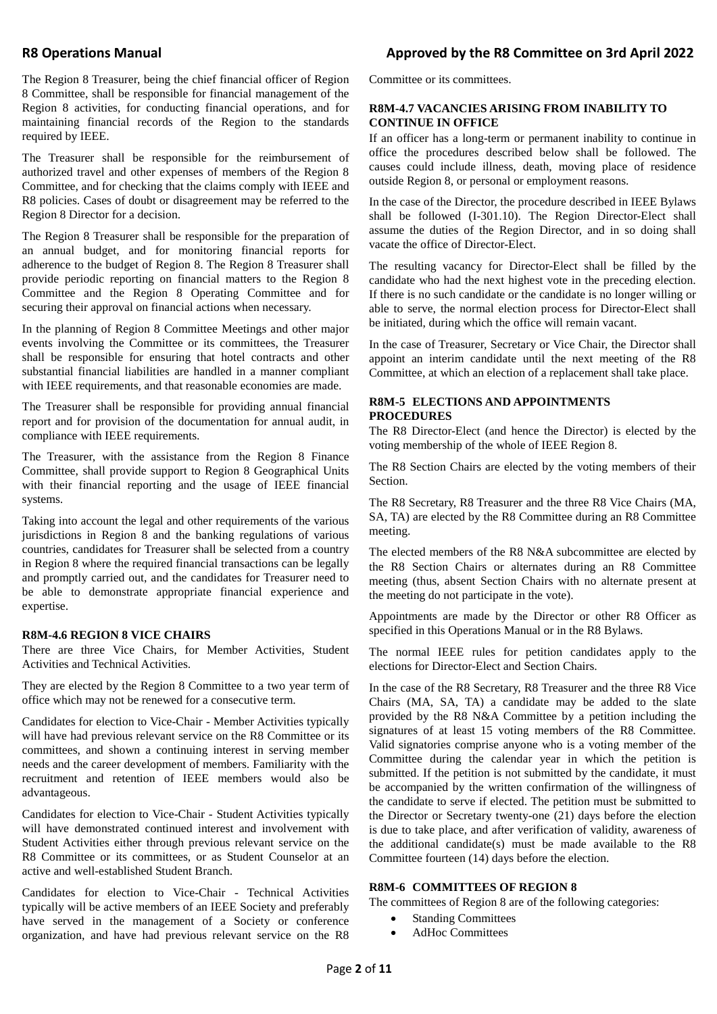The Region 8 Treasurer, being the chief financial officer of Region 8 Committee, shall be responsible for financial management of the Region 8 activities, for conducting financial operations, and for maintaining financial records of the Region to the standards required by IEEE.

The Treasurer shall be responsible for the reimbursement of authorized travel and other expenses of members of the Region 8 Committee, and for checking that the claims comply with IEEE and R8 policies. Cases of doubt or disagreement may be referred to the Region 8 Director for a decision.

The Region 8 Treasurer shall be responsible for the preparation of an annual budget, and for monitoring financial reports for adherence to the budget of Region 8. The Region 8 Treasurer shall provide periodic reporting on financial matters to the Region 8 Committee and the Region 8 Operating Committee and for securing their approval on financial actions when necessary.

In the planning of Region 8 Committee Meetings and other major events involving the Committee or its committees, the Treasurer shall be responsible for ensuring that hotel contracts and other substantial financial liabilities are handled in a manner compliant with IEEE requirements, and that reasonable economies are made.

The Treasurer shall be responsible for providing annual financial report and for provision of the documentation for annual audit, in compliance with IEEE requirements.

The Treasurer, with the assistance from the Region 8 Finance Committee, shall provide support to Region 8 Geographical Units with their financial reporting and the usage of IEEE financial systems.

Taking into account the legal and other requirements of the various jurisdictions in Region 8 and the banking regulations of various countries, candidates for Treasurer shall be selected from a country in Region 8 where the required financial transactions can be legally and promptly carried out, and the candidates for Treasurer need to be able to demonstrate appropriate financial experience and expertise.

#### **R8M-4.6 REGION 8 VICE CHAIRS**

There are three Vice Chairs, for Member Activities, Student Activities and Technical Activities.

They are elected by the Region 8 Committee to a two year term of office which may not be renewed for a consecutive term.

Candidates for election to Vice-Chair - Member Activities typically will have had previous relevant service on the R8 Committee or its committees, and shown a continuing interest in serving member needs and the career development of members. Familiarity with the recruitment and retention of IEEE members would also be advantageous.

Candidates for election to Vice-Chair - Student Activities typically will have demonstrated continued interest and involvement with Student Activities either through previous relevant service on the R8 Committee or its committees, or as Student Counselor at an active and well-established Student Branch.

Candidates for election to Vice-Chair - Technical Activities typically will be active members of an IEEE Society and preferably have served in the management of a Society or conference organization, and have had previous relevant service on the R8

Committee or its committees.

#### **R8M-4.7 VACANCIES ARISING FROM INABILITY TO CONTINUE IN OFFICE**

If an officer has a long-term or permanent inability to continue in office the procedures described below shall be followed. The causes could include illness, death, moving place of residence outside Region 8, or personal or employment reasons.

In the case of the Director, the procedure described in IEEE Bylaws shall be followed (I-301.10). The Region Director-Elect shall assume the duties of the Region Director, and in so doing shall vacate the office of Director-Elect.

The resulting vacancy for Director-Elect shall be filled by the candidate who had the next highest vote in the preceding election. If there is no such candidate or the candidate is no longer willing or able to serve, the normal election process for Director-Elect shall be initiated, during which the office will remain vacant.

In the case of Treasurer, Secretary or Vice Chair, the Director shall appoint an interim candidate until the next meeting of the R8 Committee, at which an election of a replacement shall take place.

#### **R8M-5 ELECTIONS AND APPOINTMENTS PROCEDURES**

The R8 Director-Elect (and hence the Director) is elected by the voting membership of the whole of IEEE Region 8.

The R8 Section Chairs are elected by the voting members of their Section.

The R8 Secretary, R8 Treasurer and the three R8 Vice Chairs (MA, SA, TA) are elected by the R8 Committee during an R8 Committee meeting.

The elected members of the R8 N&A subcommittee are elected by the R8 Section Chairs or alternates during an R8 Committee meeting (thus, absent Section Chairs with no alternate present at the meeting do not participate in the vote).

Appointments are made by the Director or other R8 Officer as specified in this Operations Manual or in the R8 Bylaws.

The normal IEEE rules for petition candidates apply to the elections for Director-Elect and Section Chairs.

In the case of the R8 Secretary, R8 Treasurer and the three R8 Vice Chairs (MA, SA, TA) a candidate may be added to the slate provided by the R8 N&A Committee by a petition including the signatures of at least 15 voting members of the R8 Committee. Valid signatories comprise anyone who is a voting member of the Committee during the calendar year in which the petition is submitted. If the petition is not submitted by the candidate, it must be accompanied by the written confirmation of the willingness of the candidate to serve if elected. The petition must be submitted to the Director or Secretary twenty-one (21) days before the election is due to take place, and after verification of validity, awareness of the additional candidate(s) must be made available to the R8 Committee fourteen (14) days before the election.

#### **R8M-6 COMMITTEES OF REGION 8**

The committees of Region 8 are of the following categories:

- **Standing Committees**
- AdHoc Committees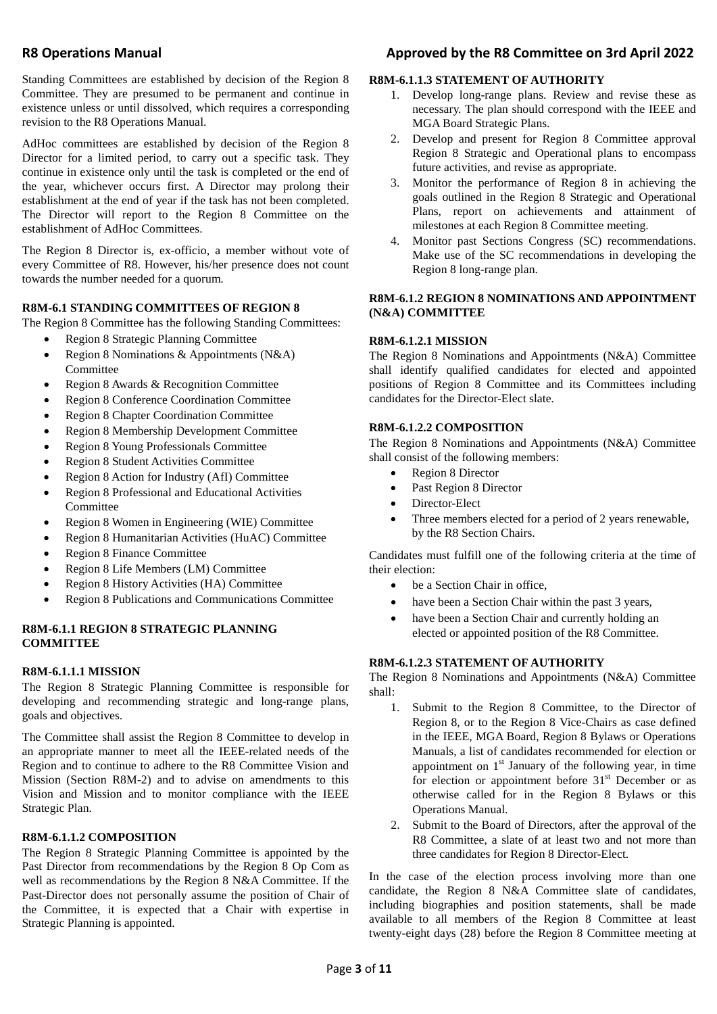Standing Committees are established by decision of the Region 8 Committee. They are presumed to be permanent and continue in existence unless or until dissolved, which requires a corresponding revision to the R8 Operations Manual.

AdHoc committees are established by decision of the Region 8 Director for a limited period, to carry out a specific task. They continue in existence only until the task is completed or the end of the year, whichever occurs first. A Director may prolong their establishment at the end of year if the task has not been completed. The Director will report to the Region 8 Committee on the establishment of AdHoc Committees.

The Region 8 Director is, ex-officio, a member without vote of every Committee of R8. However, his/her presence does not count towards the number needed for a quorum.

#### **R8M-6.1 STANDING COMMITTEES OF REGION 8**

The Region 8 Committee has the following Standing Committees:

- Region 8 Strategic Planning Committee
- Region 8 Nominations & Appointments (N&A) Committee
- Region 8 Awards & Recognition Committee
- Region 8 Conference Coordination Committee
- Region 8 Chapter Coordination Committee
- Region 8 Membership Development Committee
- Region 8 Young Professionals Committee
- Region 8 Student Activities Committee
- Region 8 Action for Industry (AfI) Committee
- Region 8 Professional and Educational Activities **Committee**
- Region 8 Women in Engineering (WIE) Committee
- Region 8 Humanitarian Activities (HuAC) Committee
- Region 8 Finance Committee
- Region 8 Life Members (LM) Committee
- Region 8 History Activities (HA) Committee
- Region 8 Publications and Communications Committee

## **R8M-6.1.1 REGION 8 STRATEGIC PLANNING COMMITTEE**

#### **R8M-6.1.1.1 MISSION**

The Region 8 Strategic Planning Committee is responsible for developing and recommending strategic and long-range plans, goals and objectives.

The Committee shall assist the Region 8 Committee to develop in an appropriate manner to meet all the IEEE-related needs of the Region and to continue to adhere to the R8 Committee Vision and Mission (Section R8M-2) and to advise on amendments to this Vision and Mission and to monitor compliance with the IEEE Strategic Plan.

#### **R8M-6.1.1.2 COMPOSITION**

The Region 8 Strategic Planning Committee is appointed by the Past Director from recommendations by the Region 8 Op Com as well as recommendations by the Region 8 N&A Committee. If the Past-Director does not personally assume the position of Chair of the Committee, it is expected that a Chair with expertise in Strategic Planning is appointed.

## **R8 Operations Manual Approved by the R8 Committee on 3rd April 2022**

#### **R8M-6.1.1.3 STATEMENT OF AUTHORITY**

- 1. Develop long-range plans. Review and revise these as necessary. The plan should correspond with the IEEE and MGA Board Strategic Plans.
- 2. Develop and present for Region 8 Committee approval Region 8 Strategic and Operational plans to encompass future activities, and revise as appropriate.
- 3. Monitor the performance of Region 8 in achieving the goals outlined in the Region 8 Strategic and Operational Plans, report on achievements and attainment of milestones at each Region 8 Committee meeting.
- 4. Monitor past Sections Congress (SC) recommendations. Make use of the SC recommendations in developing the Region 8 long-range plan.

#### **R8M-6.1.2 REGION 8 NOMINATIONS AND APPOINTMENT (N&A) COMMITTEE**

#### **R8M-6.1.2.1 MISSION**

The Region 8 Nominations and Appointments (N&A) Committee shall identify qualified candidates for elected and appointed positions of Region 8 Committee and its Committees including candidates for the Director-Elect slate.

## **R8M-6.1.2.2 COMPOSITION**

The Region 8 Nominations and Appointments (N&A) Committee shall consist of the following members:

- Region 8 Director
- Past Region 8 Director
- Director-Elect
- Three members elected for a period of 2 years renewable, by the R8 Section Chairs.

Candidates must fulfill one of the following criteria at the time of their election:

- be a Section Chair in office,
- have been a Section Chair within the past 3 years,
- have been a Section Chair and currently holding an elected or appointed position of the R8 Committee.

#### **R8M-6.1.2.3 STATEMENT OF AUTHORITY**

The Region 8 Nominations and Appointments (N&A) Committee shall:

- 1. Submit to the Region 8 Committee, to the Director of Region 8, or to the Region 8 Vice-Chairs as case defined in the IEEE, MGA Board, Region 8 Bylaws or Operations Manuals, a list of candidates recommended for election or appointment on  $1<sup>st</sup>$  January of the following year, in time for election or appointment before  $31<sup>st</sup>$  December or as otherwise called for in the Region 8 Bylaws or this Operations Manual.
- 2. Submit to the Board of Directors, after the approval of the R8 Committee, a slate of at least two and not more than three candidates for Region 8 Director-Elect.

In the case of the election process involving more than one candidate, the Region 8 N&A Committee slate of candidates, including biographies and position statements, shall be made available to all members of the Region 8 Committee at least twenty-eight days (28) before the Region 8 Committee meeting at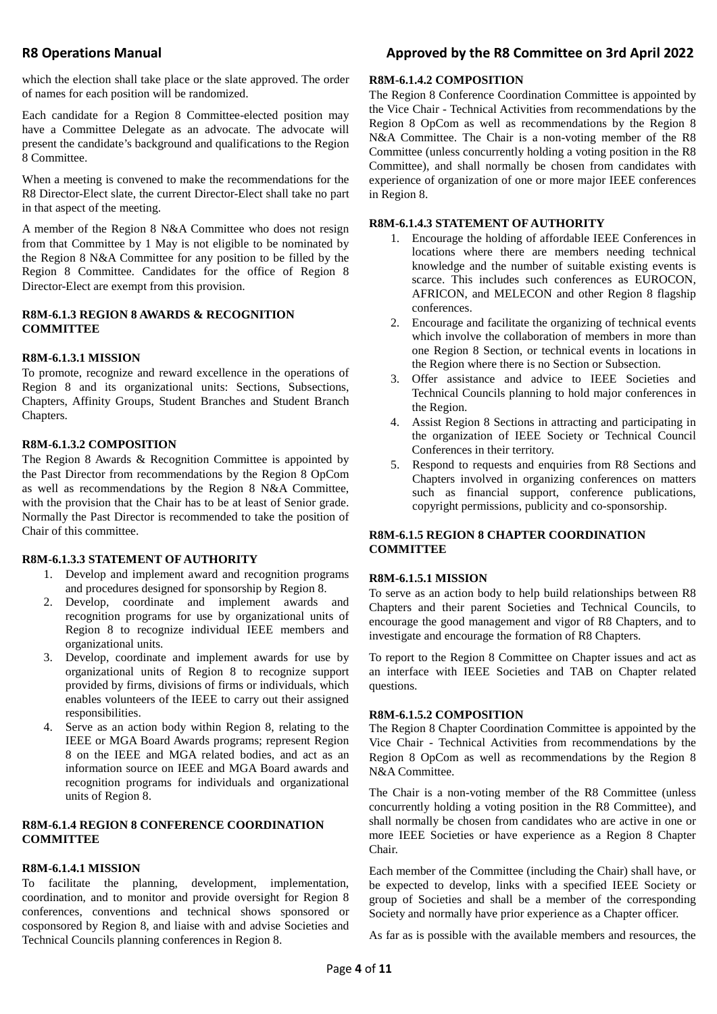## R8 Operations Manual **R8 Operations Manual** Approved by the R8 Committee on 3rd April 2022

which the election shall take place or the slate approved. The order of names for each position will be randomized.

Each candidate for a Region 8 Committee-elected position may have a Committee Delegate as an advocate. The advocate will present the candidate's background and qualifications to the Region 8 Committee.

When a meeting is convened to make the recommendations for the R8 Director-Elect slate, the current Director-Elect shall take no part in that aspect of the meeting.

A member of the Region 8 N&A Committee who does not resign from that Committee by 1 May is not eligible to be nominated by the Region 8 N&A Committee for any position to be filled by the Region 8 Committee. Candidates for the office of Region 8 Director-Elect are exempt from this provision.

## **R8M-6.1.3 REGION 8 AWARDS & RECOGNITION COMMITTEE**

## **R8M-6.1.3.1 MISSION**

To promote, recognize and reward excellence in the operations of Region 8 and its organizational units: Sections, Subsections, Chapters, Affinity Groups, Student Branches and Student Branch Chapters.

## **R8M-6.1.3.2 COMPOSITION**

The Region 8 Awards & Recognition Committee is appointed by the Past Director from recommendations by the Region 8 OpCom as well as recommendations by the Region 8 N&A Committee, with the provision that the Chair has to be at least of Senior grade. Normally the Past Director is recommended to take the position of Chair of this committee.

## **R8M-6.1.3.3 STATEMENT OF AUTHORITY**

- 1. Develop and implement award and recognition programs and procedures designed for sponsorship by Region 8.
- 2. Develop, coordinate and implement awards and recognition programs for use by organizational units of Region 8 to recognize individual IEEE members and organizational units.
- 3. Develop, coordinate and implement awards for use by organizational units of Region 8 to recognize support provided by firms, divisions of firms or individuals, which enables volunteers of the IEEE to carry out their assigned responsibilities.
- 4. Serve as an action body within Region 8, relating to the IEEE or MGA Board Awards programs; represent Region 8 on the IEEE and MGA related bodies, and act as an information source on IEEE and MGA Board awards and recognition programs for individuals and organizational units of Region 8.

## **R8M-6.1.4 REGION 8 CONFERENCE COORDINATION COMMITTEE**

## **R8M-6.1.4.1 MISSION**

To facilitate the planning, development, implementation, coordination, and to monitor and provide oversight for Region 8 conferences, conventions and technical shows sponsored or cosponsored by Region 8, and liaise with and advise Societies and Technical Councils planning conferences in Region 8.

## **R8M-6.1.4.2 COMPOSITION**

The Region 8 Conference Coordination Committee is appointed by the Vice Chair - Technical Activities from recommendations by the Region 8 OpCom as well as recommendations by the Region 8 N&A Committee. The Chair is a non-voting member of the R8 Committee (unless concurrently holding a voting position in the R8 Committee), and shall normally be chosen from candidates with experience of organization of one or more major IEEE conferences in Region 8.

## **R8M-6.1.4.3 STATEMENT OF AUTHORITY**

- 1. Encourage the holding of affordable IEEE Conferences in locations where there are members needing technical knowledge and the number of suitable existing events is scarce. This includes such conferences as EUROCON, AFRICON, and MELECON and other Region 8 flagship conferences.
- 2. Encourage and facilitate the organizing of technical events which involve the collaboration of members in more than one Region 8 Section, or technical events in locations in the Region where there is no Section or Subsection.
- 3. Offer assistance and advice to IEEE Societies and Technical Councils planning to hold major conferences in the Region.
- 4. Assist Region 8 Sections in attracting and participating in the organization of IEEE Society or Technical Council Conferences in their territory.
- 5. Respond to requests and enquiries from R8 Sections and Chapters involved in organizing conferences on matters such as financial support, conference publications, copyright permissions, publicity and co-sponsorship.

## **R8M-6.1.5 REGION 8 CHAPTER COORDINATION COMMITTEE**

## **R8M-6.1.5.1 MISSION**

To serve as an action body to help build relationships between R8 Chapters and their parent Societies and Technical Councils, to encourage the good management and vigor of R8 Chapters, and to investigate and encourage the formation of R8 Chapters.

To report to the Region 8 Committee on Chapter issues and act as an interface with IEEE Societies and TAB on Chapter related questions.

## **R8M-6.1.5.2 COMPOSITION**

The Region 8 Chapter Coordination Committee is appointed by the Vice Chair - Technical Activities from recommendations by the Region 8 OpCom as well as recommendations by the Region 8 N&A Committee.

The Chair is a non-voting member of the R8 Committee (unless concurrently holding a voting position in the R8 Committee), and shall normally be chosen from candidates who are active in one or more IEEE Societies or have experience as a Region 8 Chapter Chair.

Each member of the Committee (including the Chair) shall have, or be expected to develop, links with a specified IEEE Society or group of Societies and shall be a member of the corresponding Society and normally have prior experience as a Chapter officer.

As far as is possible with the available members and resources, the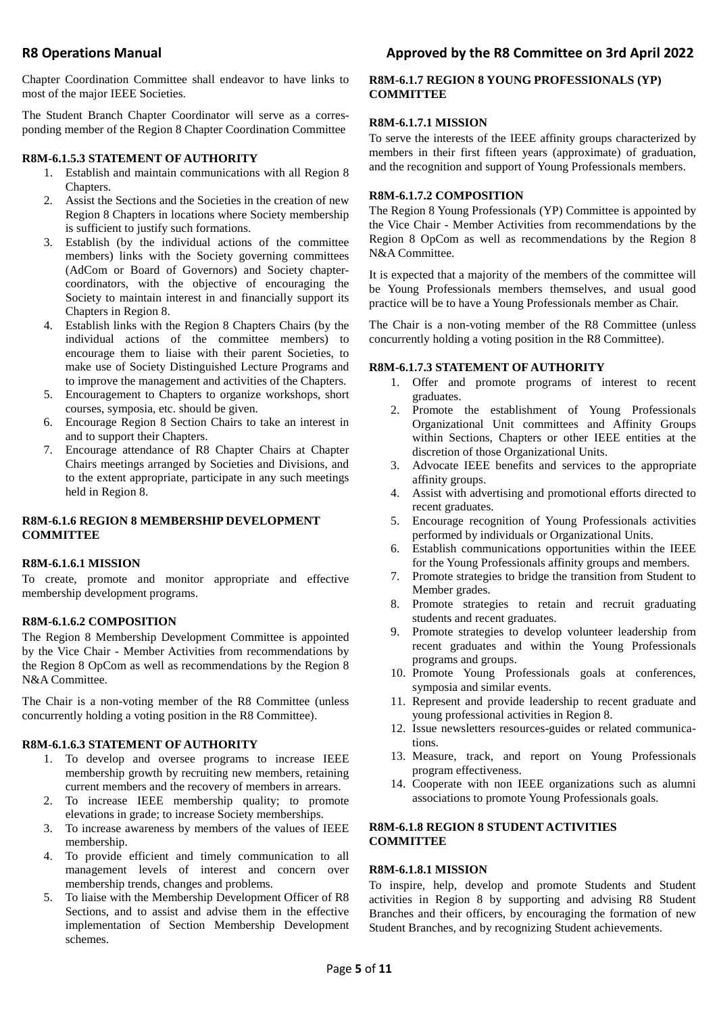Chapter Coordination Committee shall endeavor to have links to most of the major IEEE Societies.

The Student Branch Chapter Coordinator will serve as a corresponding member of the Region 8 Chapter Coordination Committee

## **R8M-6.1.5.3 STATEMENT OF AUTHORITY**

- 1. Establish and maintain communications with all Region 8 Chapters.
- 2. Assist the Sections and the Societies in the creation of new Region 8 Chapters in locations where Society membership is sufficient to justify such formations.
- 3. Establish (by the individual actions of the committee members) links with the Society governing committees (AdCom or Board of Governors) and Society chaptercoordinators, with the objective of encouraging the Society to maintain interest in and financially support its Chapters in Region 8.
- 4. Establish links with the Region 8 Chapters Chairs (by the individual actions of the committee members) to encourage them to liaise with their parent Societies, to make use of Society Distinguished Lecture Programs and to improve the management and activities of the Chapters.
- 5. Encouragement to Chapters to organize workshops, short courses, symposia, etc. should be given.
- 6. Encourage Region 8 Section Chairs to take an interest in and to support their Chapters.
- 7. Encourage attendance of R8 Chapter Chairs at Chapter Chairs meetings arranged by Societies and Divisions, and to the extent appropriate, participate in any such meetings held in Region 8.

## **R8M-6.1.6 REGION 8 MEMBERSHIP DEVELOPMENT COMMITTEE**

## **R8M-6.1.6.1 MISSION**

To create, promote and monitor appropriate and effective membership development programs.

## **R8M-6.1.6.2 COMPOSITION**

The Region 8 Membership Development Committee is appointed by the Vice Chair - Member Activities from recommendations by the Region 8 OpCom as well as recommendations by the Region 8 N&A Committee.

The Chair is a non-voting member of the R8 Committee (unless concurrently holding a voting position in the R8 Committee).

## **R8M-6.1.6.3 STATEMENT OF AUTHORITY**

- 1. To develop and oversee programs to increase IEEE membership growth by recruiting new members, retaining current members and the recovery of members in arrears.
- 2. To increase IEEE membership quality; to promote elevations in grade; to increase Society memberships.
- 3. To increase awareness by members of the values of IEEE membership.
- 4. To provide efficient and timely communication to all management levels of interest and concern over membership trends, changes and problems.
- 5. To liaise with the Membership Development Officer of R8 Sections, and to assist and advise them in the effective implementation of Section Membership Development schemes.

## **R8M-6.1.7 REGION 8 YOUNG PROFESSIONALS (YP) COMMITTEE**

## **R8M-6.1.7.1 MISSION**

To serve the interests of the IEEE affinity groups characterized by members in their first fifteen years (approximate) of graduation, and the recognition and support of Young Professionals members.

## **R8M-6.1.7.2 COMPOSITION**

The Region 8 Young Professionals (YP) Committee is appointed by the Vice Chair - Member Activities from recommendations by the Region 8 OpCom as well as recommendations by the Region 8 N&A Committee.

It is expected that a majority of the members of the committee will be Young Professionals members themselves, and usual good practice will be to have a Young Professionals member as Chair.

The Chair is a non-voting member of the R8 Committee (unless concurrently holding a voting position in the R8 Committee).

## **R8M-6.1.7.3 STATEMENT OF AUTHORITY**

- 1. Offer and promote programs of interest to recent graduates.
- 2. Promote the establishment of Young Professionals Organizational Unit committees and Affinity Groups within Sections, Chapters or other IEEE entities at the discretion of those Organizational Units.
- 3. Advocate IEEE benefits and services to the appropriate affinity groups.
- 4. Assist with advertising and promotional efforts directed to recent graduates.
- 5. Encourage recognition of Young Professionals activities performed by individuals or Organizational Units.
- 6. Establish communications opportunities within the IEEE for the Young Professionals affinity groups and members.
- 7. Promote strategies to bridge the transition from Student to Member grades.
- 8. Promote strategies to retain and recruit graduating students and recent graduates.
- 9. Promote strategies to develop volunteer leadership from recent graduates and within the Young Professionals programs and groups.
- 10. Promote Young Professionals goals at conferences, symposia and similar events.
- 11. Represent and provide leadership to recent graduate and young professional activities in Region 8.
- 12. Issue newsletters resources-guides or related communications.
- 13. Measure, track, and report on Young Professionals program effectiveness.
- 14. Cooperate with non IEEE organizations such as alumni associations to promote Young Professionals goals.

## **R8M-6.1.8 REGION 8 STUDENT ACTIVITIES COMMITTEE**

## **R8M-6.1.8.1 MISSION**

To inspire, help, develop and promote Students and Student activities in Region 8 by supporting and advising R8 Student Branches and their officers, by encouraging the formation of new Student Branches, and by recognizing Student achievements.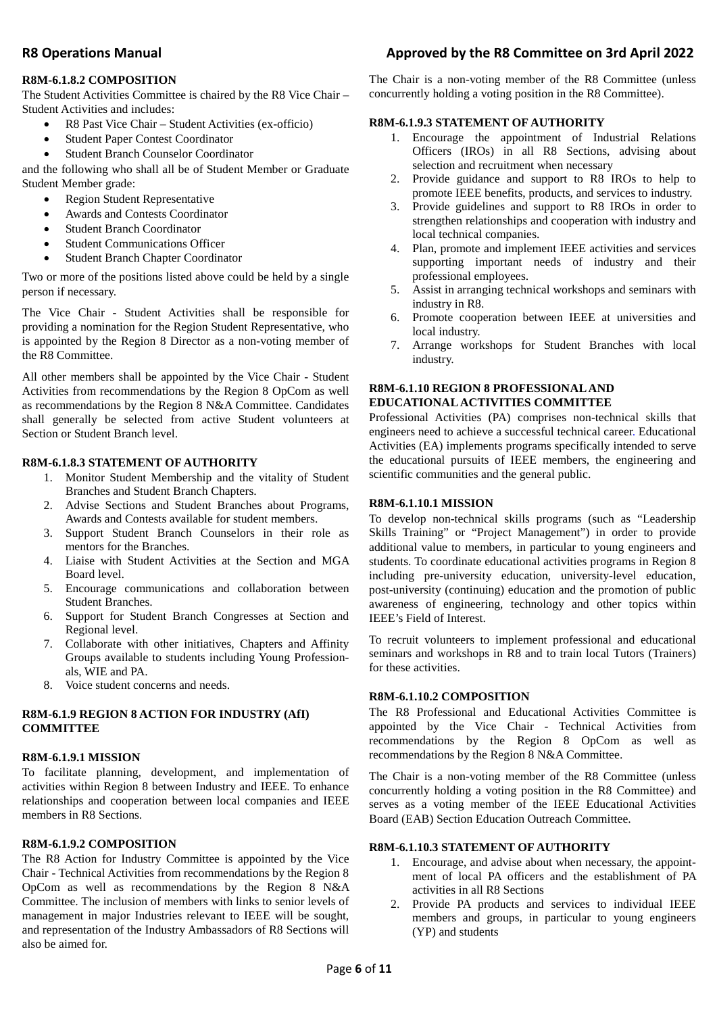## **R8M-6.1.8.2 COMPOSITION**

The Student Activities Committee is chaired by the R8 Vice Chair – Student Activities and includes:

- R8 Past Vice Chair Student Activities (ex-officio)
- Student Paper Contest Coordinator
- Student Branch Counselor Coordinator

and the following who shall all be of Student Member or Graduate Student Member grade:

- Region Student Representative
- Awards and Contests Coordinator
- Student Branch Coordinator
- Student Communications Officer
- Student Branch Chapter Coordinator

Two or more of the positions listed above could be held by a single person if necessary.

The Vice Chair - Student Activities shall be responsible for providing a nomination for the Region Student Representative, who is appointed by the Region 8 Director as a non-voting member of the R8 Committee.

All other members shall be appointed by the Vice Chair - Student Activities from recommendations by the Region 8 OpCom as well as recommendations by the Region 8 N&A Committee. Candidates shall generally be selected from active Student volunteers at Section or Student Branch level.

#### **R8M-6.1.8.3 STATEMENT OF AUTHORITY**

- 1. Monitor Student Membership and the vitality of Student Branches and Student Branch Chapters.
- 2. Advise Sections and Student Branches about Programs, Awards and Contests available for student members.
- 3. Support Student Branch Counselors in their role as mentors for the Branches.
- 4. Liaise with Student Activities at the Section and MGA Board level.
- 5. Encourage communications and collaboration between Student Branches.
- 6. Support for Student Branch Congresses at Section and Regional level.
- 7. Collaborate with other initiatives, Chapters and Affinity Groups available to students including Young Professionals, WIE and PA.
- 8. Voice student concerns and needs.

#### **R8M-6.1.9 REGION 8 ACTION FOR INDUSTRY (AfI) COMMITTEE**

#### **R8M-6.1.9.1 MISSION**

To facilitate planning, development, and implementation of activities within Region 8 between Industry and IEEE. To enhance relationships and cooperation between local companies and IEEE members in R8 Sections.

#### **R8M-6.1.9.2 COMPOSITION**

The R8 Action for Industry Committee is appointed by the Vice Chair - Technical Activities from recommendations by the Region 8 OpCom as well as recommendations by the Region 8 N&A Committee. The inclusion of members with links to senior levels of management in major Industries relevant to IEEE will be sought, and representation of the Industry Ambassadors of R8 Sections will also be aimed for.

## **R8 Operations Manual Approved by the R8 Committee on 3rd April 2022**

The Chair is a non-voting member of the R8 Committee (unless concurrently holding a voting position in the R8 Committee).

#### **R8M-6.1.9.3 STATEMENT OF AUTHORITY**

- 1. Encourage the appointment of Industrial Relations Officers (IROs) in all R8 Sections, advising about selection and recruitment when necessary
- 2. Provide guidance and support to R8 IROs to help to promote IEEE benefits, products, and services to industry.
- 3. Provide guidelines and support to R8 IROs in order to strengthen relationships and cooperation with industry and local technical companies.
- 4. Plan, promote and implement IEEE activities and services supporting important needs of industry and their professional employees.
- 5. Assist in arranging technical workshops and seminars with industry in R8.
- 6. Promote cooperation between IEEE at universities and local industry.
- 7. Arrange workshops for Student Branches with local industry.

### **R8M-6.1.10 REGION 8 PROFESSIONAL AND EDUCATIONAL ACTIVITIES COMMITTEE**

Professional Activities (PA) comprises non-technical skills that engineers need to achieve a successful technical career. Educational Activities (EA) implements programs specifically intended to serve the educational pursuits of IEEE members, the engineering and scientific communities and the general public.

#### **R8M-6.1.10.1 MISSION**

To develop non-technical skills programs (such as "Leadership Skills Training" or "Project Management") in order to provide additional value to members, in particular to young engineers and students. To coordinate educational activities programs in Region 8 including pre-university education, university-level education, post-university (continuing) education and the promotion of public awareness of engineering, technology and other topics within IEEE's Field of Interest.

To recruit volunteers to implement professional and educational seminars and workshops in R8 and to train local Tutors (Trainers) for these activities.

#### **R8M-6.1.10.2 COMPOSITION**

The R8 Professional and Educational Activities Committee is appointed by the Vice Chair - Technical Activities from recommendations by the Region 8 OpCom as well as recommendations by the Region 8 N&A Committee.

The Chair is a non-voting member of the R8 Committee (unless concurrently holding a voting position in the R8 Committee) and serves as a voting member of the IEEE Educational Activities Board (EAB) Section Education Outreach Committee.

#### **R8M-6.1.10.3 STATEMENT OF AUTHORITY**

- 1. Encourage, and advise about when necessary, the appointment of local PA officers and the establishment of PA activities in all R8 Sections
- 2. Provide PA products and services to individual IEEE members and groups, in particular to young engineers (YP) and students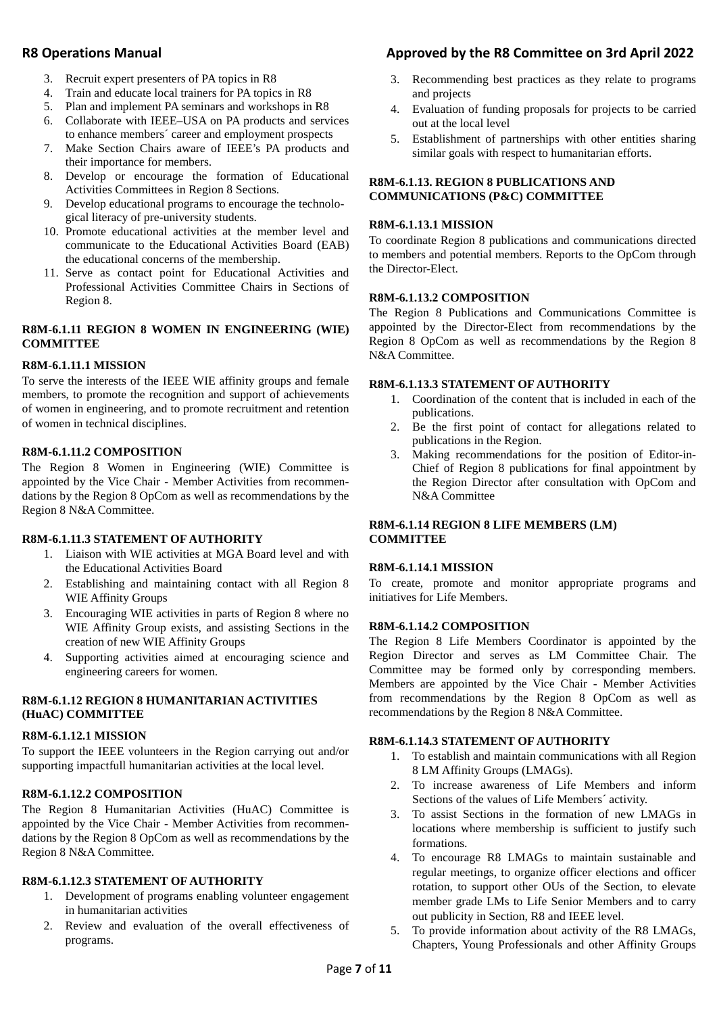- 3. Recruit expert presenters of PA topics in R8
- 4. Train and educate local trainers for PA topics in R8
- 5. Plan and implement PA seminars and workshops in R8
- 6. Collaborate with IEEE–USA on PA products and services to enhance members´ career and employment prospects
- 7. Make Section Chairs aware of IEEE's PA products and their importance for members.
- 8. Develop or encourage the formation of Educational Activities Committees in Region 8 Sections.
- 9. Develop educational programs to encourage the technological literacy of pre-university students.
- 10. Promote educational activities at the member level and communicate to the Educational Activities Board (EAB) the educational concerns of the membership.
- 11. Serve as contact point for Educational Activities and Professional Activities Committee Chairs in Sections of Region 8.

#### **R8M-6.1.11 REGION 8 WOMEN IN ENGINEERING (WIE) COMMITTEE**

#### **R8M-6.1.11.1 MISSION**

To serve the interests of the IEEE WIE affinity groups and female members, to promote the recognition and support of achievements of women in engineering, and to promote recruitment and retention of women in technical disciplines.

#### **R8M-6.1.11.2 COMPOSITION**

The Region 8 Women in Engineering (WIE) Committee is appointed by the Vice Chair - Member Activities from recommendations by the Region 8 OpCom as well as recommendations by the Region 8 N&A Committee.

#### **R8M-6.1.11.3 STATEMENT OF AUTHORITY**

- 1. Liaison with WIE activities at MGA Board level and with the Educational Activities Board
- 2. Establishing and maintaining contact with all Region 8 WIE Affinity Groups
- 3. Encouraging WIE activities in parts of Region 8 where no WIE Affinity Group exists, and assisting Sections in the creation of new WIE Affinity Groups
- 4. Supporting activities aimed at encouraging science and engineering careers for women.

#### **R8M-6.1.12 REGION 8 HUMANITARIAN ACTIVITIES (HuAC) COMMITTEE**

#### **R8M-6.1.12.1 MISSION**

To support the IEEE volunteers in the Region carrying out and/or supporting impactfull humanitarian activities at the local level.

#### **R8M-6.1.12.2 COMPOSITION**

The Region 8 Humanitarian Activities (HuAC) Committee is appointed by the Vice Chair - Member Activities from recommendations by the Region 8 OpCom as well as recommendations by the Region 8 N&A Committee.

#### **R8M-6.1.12.3 STATEMENT OF AUTHORITY**

- 1. Development of programs enabling volunteer engagement in humanitarian activities
- 2. Review and evaluation of the overall effectiveness of programs.

## R8 Operations Manual **R8 Operations Manual** Approved by the R8 Committee on 3rd April 2022

- 3. Recommending best practices as they relate to programs and projects
- 4. Evaluation of funding proposals for projects to be carried out at the local level
- 5. Establishment of partnerships with other entities sharing similar goals with respect to humanitarian efforts.

#### **R8M-6.1.13. REGION 8 PUBLICATIONS AND COMMUNICATIONS (P&C) COMMITTEE**

#### **R8M-6.1.13.1 MISSION**

To coordinate Region 8 publications and communications directed to members and potential members. Reports to the OpCom through the Director-Elect.

#### **R8M-6.1.13.2 COMPOSITION**

The Region 8 Publications and Communications Committee is appointed by the Director-Elect from recommendations by the Region 8 OpCom as well as recommendations by the Region 8 N&A Committee.

#### **R8M-6.1.13.3 STATEMENT OF AUTHORITY**

- 1. Coordination of the content that is included in each of the publications.
- 2. Be the first point of contact for allegations related to publications in the Region.
- 3. Making recommendations for the position of Editor-in-Chief of Region 8 publications for final appointment by the Region Director after consultation with OpCom and N&A Committee

#### **R8M-6.1.14 REGION 8 LIFE MEMBERS (LM) COMMITTEE**

#### **R8M-6.1.14.1 MISSION**

To create, promote and monitor appropriate programs and initiatives for Life Members.

#### **R8M-6.1.14.2 COMPOSITION**

The Region 8 Life Members Coordinator is appointed by the Region Director and serves as LM Committee Chair. The Committee may be formed only by corresponding members. Members are appointed by the Vice Chair - Member Activities from recommendations by the Region 8 OpCom as well as recommendations by the Region 8 N&A Committee.

#### **R8M-6.1.14.3 STATEMENT OF AUTHORITY**

- 1. To establish and maintain communications with all Region 8 LM Affinity Groups (LMAGs).
- 2. To increase awareness of Life Members and inform Sections of the values of Life Members´ activity.
- 3. To assist Sections in the formation of new LMAGs in locations where membership is sufficient to justify such formations.
- 4. To encourage R8 LMAGs to maintain sustainable and regular meetings, to organize officer elections and officer rotation, to support other OUs of the Section, to elevate member grade LMs to Life Senior Members and to carry out publicity in Section, R8 and IEEE level.
- 5. To provide information about activity of the R8 LMAGs, Chapters, Young Professionals and other Affinity Groups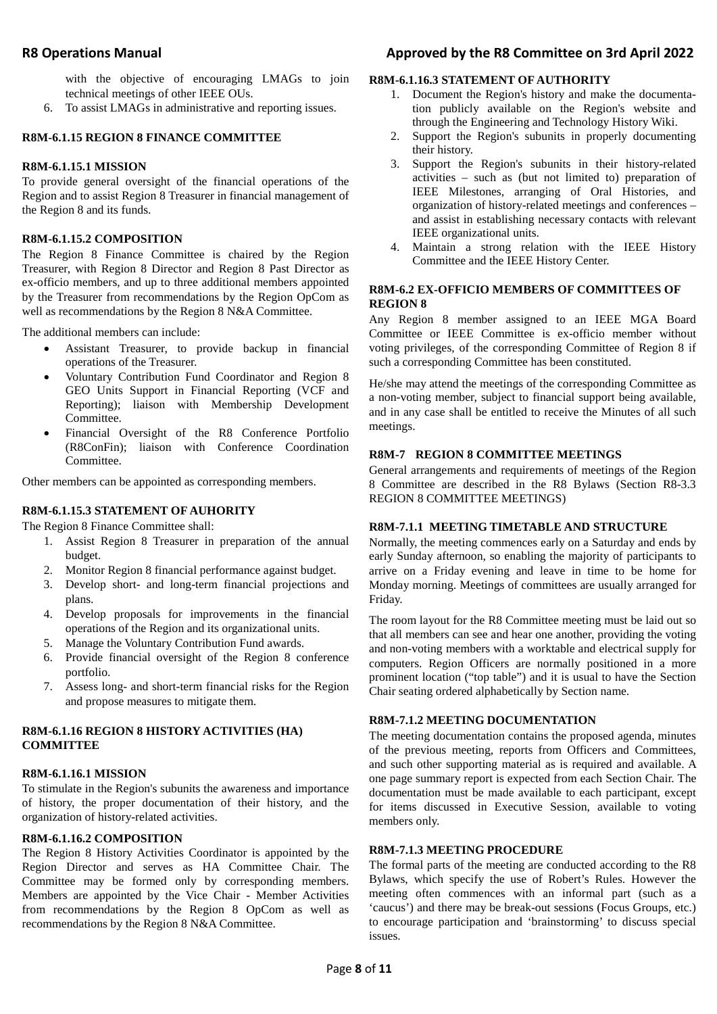with the objective of encouraging LMAGs to join technical meetings of other IEEE OUs.

6. To assist LMAGs in administrative and reporting issues.

### **R8M-6.1.15 REGION 8 FINANCE COMMITTEE**

#### **R8M-6.1.15.1 MISSION**

To provide general oversight of the financial operations of the Region and to assist Region 8 Treasurer in financial management of the Region 8 and its funds.

#### **R8M-6.1.15.2 COMPOSITION**

The Region 8 Finance Committee is chaired by the Region Treasurer, with Region 8 Director and Region 8 Past Director as ex-officio members, and up to three additional members appointed by the Treasurer from recommendations by the Region OpCom as well as recommendations by the Region 8 N&A Committee.

The additional members can include:

- Assistant Treasurer, to provide backup in financial operations of the Treasurer.
- Voluntary Contribution Fund Coordinator and Region 8 GEO Units Support in Financial Reporting (VCF and Reporting); liaison with Membership Development Committee.
- Financial Oversight of the R8 Conference Portfolio (R8ConFin); liaison with Conference Coordination Committee.

Other members can be appointed as corresponding members.

## **R8M-6.1.15.3 STATEMENT OF AUHORITY**

The Region 8 Finance Committee shall:

- 1. Assist Region 8 Treasurer in preparation of the annual budget.
- 2. Monitor Region 8 financial performance against budget.
- 3. Develop short- and long-term financial projections and plans.
- 4. Develop proposals for improvements in the financial operations of the Region and its organizational units.
- 5. Manage the Voluntary Contribution Fund awards.
- 6. Provide financial oversight of the Region 8 conference portfolio.
- 7. Assess long- and short-term financial risks for the Region and propose measures to mitigate them.

## **R8M-6.1.16 REGION 8 HISTORY ACTIVITIES (HA) COMMITTEE**

#### **R8M-6.1.16.1 MISSION**

To stimulate in the Region's subunits the awareness and importance of history, the proper documentation of their history, and the organization of history-related activities.

#### **R8M-6.1.16.2 COMPOSITION**

The Region 8 History Activities Coordinator is appointed by the Region Director and serves as HA Committee Chair. The Committee may be formed only by corresponding members. Members are appointed by the Vice Chair - Member Activities from recommendations by the Region 8 OpCom as well as recommendations by the Region 8 N&A Committee.

## **R8 Operations Manual Approved by the R8 Committee on 3rd April 2022**

#### **R8M-6.1.16.3 STATEMENT OF AUTHORITY**

- 1. Document the Region's history and make the documentation publicly available on the Region's website and through the Engineering and Technology History Wiki.
- 2. Support the Region's subunits in properly documenting their history.
- 3. Support the Region's subunits in their history-related activities – such as (but not limited to) preparation of IEEE Milestones, arranging of Oral Histories, and organization of history-related meetings and conferences – and assist in establishing necessary contacts with relevant IEEE organizational units.
- 4. Maintain a strong relation with the IEEE History Committee and the IEEE History Center.

#### **R8M-6.2 EX-OFFICIO MEMBERS OF COMMITTEES OF REGION 8**

Any Region 8 member assigned to an IEEE MGA Board Committee or IEEE Committee is ex-officio member without voting privileges, of the corresponding Committee of Region 8 if such a corresponding Committee has been constituted.

He/she may attend the meetings of the corresponding Committee as a non-voting member, subject to financial support being available, and in any case shall be entitled to receive the Minutes of all such meetings.

#### **R8M-7 REGION 8 COMMITTEE MEETINGS**

General arrangements and requirements of meetings of the Region 8 Committee are described in the R8 Bylaws (Section R8-3.3 REGION 8 COMMITTEE MEETINGS)

#### **R8M-7.1.1 MEETING TIMETABLE AND STRUCTURE**

Normally, the meeting commences early on a Saturday and ends by early Sunday afternoon, so enabling the majority of participants to arrive on a Friday evening and leave in time to be home for Monday morning. Meetings of committees are usually arranged for Friday.

The room layout for the R8 Committee meeting must be laid out so that all members can see and hear one another, providing the voting and non-voting members with a worktable and electrical supply for computers. Region Officers are normally positioned in a more prominent location ("top table") and it is usual to have the Section Chair seating ordered alphabetically by Section name.

#### **R8M-7.1.2 MEETING DOCUMENTATION**

The meeting documentation contains the proposed agenda, minutes of the previous meeting, reports from Officers and Committees, and such other supporting material as is required and available. A one page summary report is expected from each Section Chair. The documentation must be made available to each participant, except for items discussed in Executive Session, available to voting members only.

### **R8M-7.1.3 MEETING PROCEDURE**

The formal parts of the meeting are conducted according to the R8 Bylaws, which specify the use of Robert's Rules. However the meeting often commences with an informal part (such as a 'caucus') and there may be break-out sessions (Focus Groups, etc.) to encourage participation and 'brainstorming' to discuss special issues.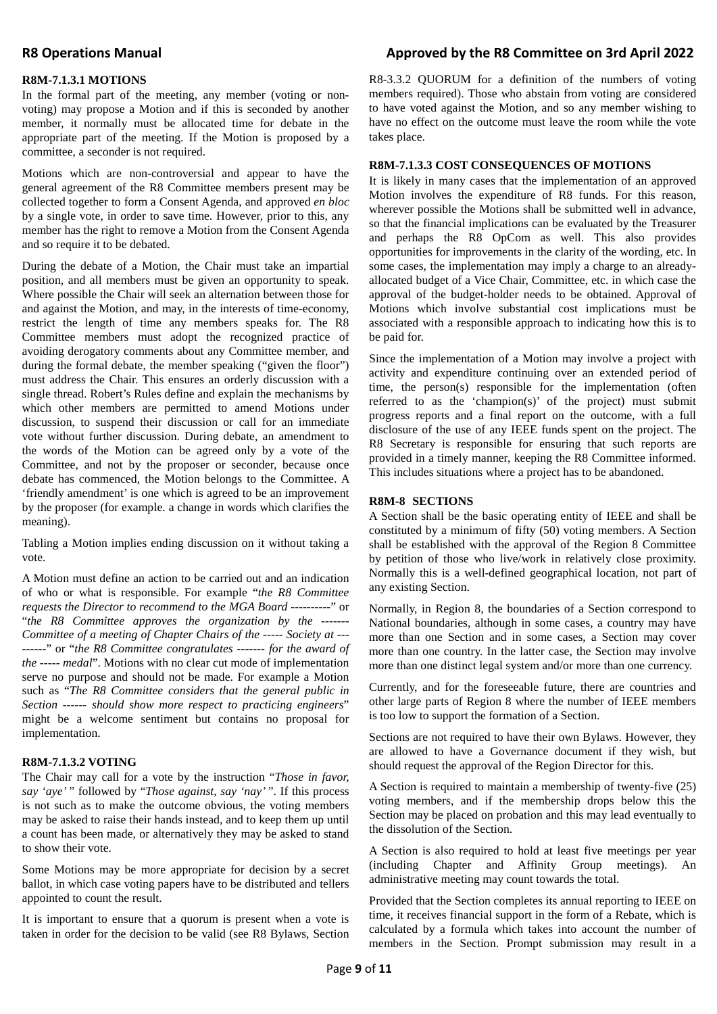#### **R8M-7.1.3.1 MOTIONS**

In the formal part of the meeting, any member (voting or nonvoting) may propose a Motion and if this is seconded by another member, it normally must be allocated time for debate in the appropriate part of the meeting. If the Motion is proposed by a committee, a seconder is not required.

Motions which are non-controversial and appear to have the general agreement of the R8 Committee members present may be collected together to form a Consent Agenda, and approved *en bloc*  by a single vote, in order to save time. However, prior to this, any member has the right to remove a Motion from the Consent Agenda and so require it to be debated.

During the debate of a Motion, the Chair must take an impartial position, and all members must be given an opportunity to speak. Where possible the Chair will seek an alternation between those for and against the Motion, and may, in the interests of time-economy, restrict the length of time any members speaks for. The R8 Committee members must adopt the recognized practice of avoiding derogatory comments about any Committee member, and during the formal debate, the member speaking ("given the floor") must address the Chair. This ensures an orderly discussion with a single thread. Robert's Rules define and explain the mechanisms by which other members are permitted to amend Motions under discussion, to suspend their discussion or call for an immediate vote without further discussion. During debate, an amendment to the words of the Motion can be agreed only by a vote of the Committee, and not by the proposer or seconder, because once debate has commenced, the Motion belongs to the Committee. A 'friendly amendment' is one which is agreed to be an improvement by the proposer (for example. a change in words which clarifies the meaning).

Tabling a Motion implies ending discussion on it without taking a vote.

A Motion must define an action to be carried out and an indication of who or what is responsible. For example "*the R8 Committee requests the Director to recommend to the MGA Board ----------*" or "*the R8 Committee approves the organization by the ------- Committee of a meeting of Chapter Chairs of the ----- Society at --- ------*" or "*the R8 Committee congratulates ------- for the award of the ----- medal*". Motions with no clear cut mode of implementation serve no purpose and should not be made. For example a Motion such as "*The R8 Committee considers that the general public in Section ------ should show more respect to practicing engineers*" might be a welcome sentiment but contains no proposal for implementation.

### **R8M-7.1.3.2 VOTING**

The Chair may call for a vote by the instruction "*Those in favor, say 'aye'* " followed by "*Those against, say 'nay'* ". If this process is not such as to make the outcome obvious, the voting members may be asked to raise their hands instead, and to keep them up until a count has been made, or alternatively they may be asked to stand to show their vote.

Some Motions may be more appropriate for decision by a secret ballot, in which case voting papers have to be distributed and tellers appointed to count the result.

It is important to ensure that a quorum is present when a vote is taken in order for the decision to be valid (see R8 Bylaws, Section

## R8 Operations Manual **R8 Operations Manual** Approved by the R8 Committee on 3rd April 2022

R8-3.3.2 QUORUM for a definition of the numbers of voting members required). Those who abstain from voting are considered to have voted against the Motion, and so any member wishing to have no effect on the outcome must leave the room while the vote takes place.

#### **R8M-7.1.3.3 COST CONSEQUENCES OF MOTIONS**

It is likely in many cases that the implementation of an approved Motion involves the expenditure of R8 funds. For this reason, wherever possible the Motions shall be submitted well in advance, so that the financial implications can be evaluated by the Treasurer and perhaps the R8 OpCom as well. This also provides opportunities for improvements in the clarity of the wording, etc. In some cases, the implementation may imply a charge to an alreadyallocated budget of a Vice Chair, Committee, etc. in which case the approval of the budget-holder needs to be obtained. Approval of Motions which involve substantial cost implications must be associated with a responsible approach to indicating how this is to be paid for.

Since the implementation of a Motion may involve a project with activity and expenditure continuing over an extended period of time, the person(s) responsible for the implementation (often referred to as the 'champion(s)' of the project) must submit progress reports and a final report on the outcome, with a full disclosure of the use of any IEEE funds spent on the project. The R8 Secretary is responsible for ensuring that such reports are provided in a timely manner, keeping the R8 Committee informed. This includes situations where a project has to be abandoned.

#### **R8M-8 SECTIONS**

A Section shall be the basic operating entity of IEEE and shall be constituted by a minimum of fifty (50) voting members. A Section shall be established with the approval of the Region 8 Committee by petition of those who live/work in relatively close proximity. Normally this is a well-defined geographical location, not part of any existing Section.

Normally, in Region 8, the boundaries of a Section correspond to National boundaries, although in some cases, a country may have more than one Section and in some cases, a Section may cover more than one country. In the latter case, the Section may involve more than one distinct legal system and/or more than one currency.

Currently, and for the foreseeable future, there are countries and other large parts of Region 8 where the number of IEEE members is too low to support the formation of a Section.

Sections are not required to have their own Bylaws. However, they are allowed to have a Governance document if they wish, but should request the approval of the Region Director for this.

A Section is required to maintain a membership of twenty-five (25) voting members, and if the membership drops below this the Section may be placed on probation and this may lead eventually to the dissolution of the Section.

A Section is also required to hold at least five meetings per year (including Chapter and Affinity Group meetings). An administrative meeting may count towards the total.

Provided that the Section completes its annual reporting to IEEE on time, it receives financial support in the form of a Rebate, which is calculated by a formula which takes into account the number of members in the Section. Prompt submission may result in a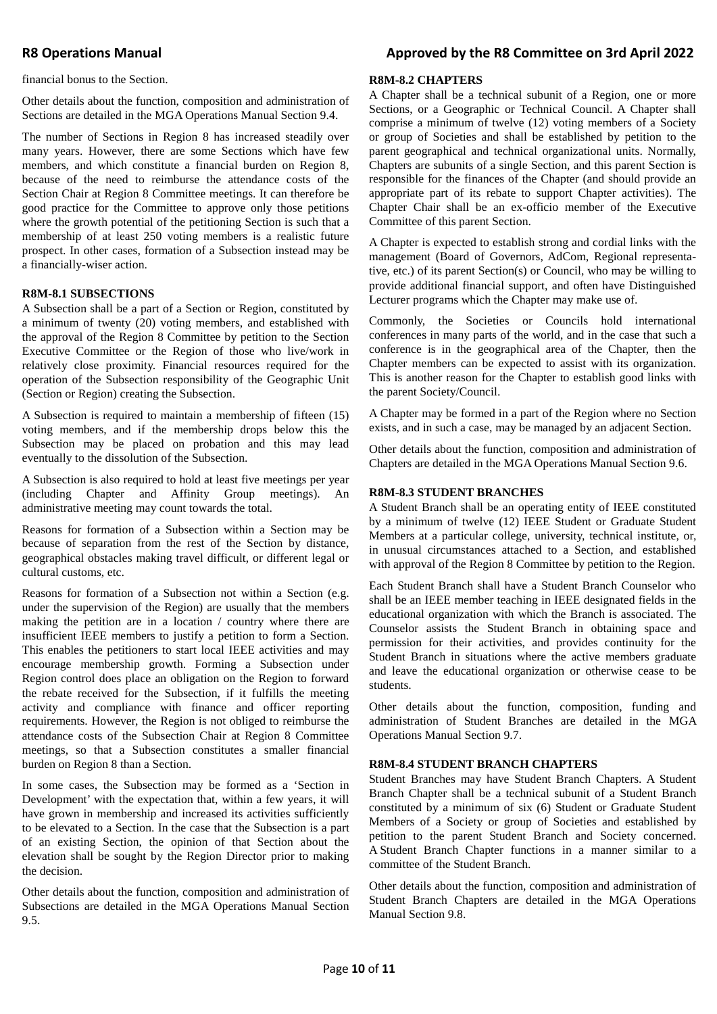## R8 Operations Manual **R8 Operations Manual** Approved by the R8 Committee on 3rd April 2022

financial bonus to the Section.

Other details about the function, composition and administration of Sections are detailed in the MGA Operations Manual Section 9.4.

The number of Sections in Region 8 has increased steadily over many years. However, there are some Sections which have few members, and which constitute a financial burden on Region 8, because of the need to reimburse the attendance costs of the Section Chair at Region 8 Committee meetings. It can therefore be good practice for the Committee to approve only those petitions where the growth potential of the petitioning Section is such that a membership of at least 250 voting members is a realistic future prospect. In other cases, formation of a Subsection instead may be a financially-wiser action.

#### **R8M-8.1 SUBSECTIONS**

A Subsection shall be a part of a Section or Region, constituted by a minimum of twenty (20) voting members, and established with the approval of the Region 8 Committee by petition to the Section Executive Committee or the Region of those who live/work in relatively close proximity. Financial resources required for the operation of the Subsection responsibility of the Geographic Unit (Section or Region) creating the Subsection.

A Subsection is required to maintain a membership of fifteen (15) voting members, and if the membership drops below this the Subsection may be placed on probation and this may lead eventually to the dissolution of the Subsection.

A Subsection is also required to hold at least five meetings per year (including Chapter and Affinity Group meetings). An administrative meeting may count towards the total.

Reasons for formation of a Subsection within a Section may be because of separation from the rest of the Section by distance, geographical obstacles making travel difficult, or different legal or cultural customs, etc.

Reasons for formation of a Subsection not within a Section (e.g. under the supervision of the Region) are usually that the members making the petition are in a location / country where there are insufficient IEEE members to justify a petition to form a Section. This enables the petitioners to start local IEEE activities and may encourage membership growth. Forming a Subsection under Region control does place an obligation on the Region to forward the rebate received for the Subsection, if it fulfills the meeting activity and compliance with finance and officer reporting requirements. However, the Region is not obliged to reimburse the attendance costs of the Subsection Chair at Region 8 Committee meetings, so that a Subsection constitutes a smaller financial burden on Region 8 than a Section.

In some cases, the Subsection may be formed as a 'Section in Development' with the expectation that, within a few years, it will have grown in membership and increased its activities sufficiently to be elevated to a Section. In the case that the Subsection is a part of an existing Section, the opinion of that Section about the elevation shall be sought by the Region Director prior to making the decision.

Other details about the function, composition and administration of Subsections are detailed in the MGA Operations Manual Section 9.5.

#### **R8M-8.2 CHAPTERS**

A Chapter shall be a technical subunit of a Region, one or more Sections, or a Geographic or Technical Council. A Chapter shall comprise a minimum of twelve (12) voting members of a Society or group of Societies and shall be established by petition to the parent geographical and technical organizational units. Normally, Chapters are subunits of a single Section, and this parent Section is responsible for the finances of the Chapter (and should provide an appropriate part of its rebate to support Chapter activities). The Chapter Chair shall be an ex-officio member of the Executive Committee of this parent Section.

A Chapter is expected to establish strong and cordial links with the management (Board of Governors, AdCom, Regional representative, etc.) of its parent Section(s) or Council, who may be willing to provide additional financial support, and often have Distinguished Lecturer programs which the Chapter may make use of.

Commonly, the Societies or Councils hold international conferences in many parts of the world, and in the case that such a conference is in the geographical area of the Chapter, then the Chapter members can be expected to assist with its organization. This is another reason for the Chapter to establish good links with the parent Society/Council.

A Chapter may be formed in a part of the Region where no Section exists, and in such a case, may be managed by an adjacent Section.

Other details about the function, composition and administration of Chapters are detailed in the MGA Operations Manual Section 9.6.

#### **R8M-8.3 STUDENT BRANCHES**

A Student Branch shall be an operating entity of IEEE constituted by a minimum of twelve (12) IEEE Student or Graduate Student Members at a particular college, university, technical institute, or, in unusual circumstances attached to a Section, and established with approval of the Region 8 Committee by petition to the Region.

Each Student Branch shall have a Student Branch Counselor who shall be an IEEE member teaching in IEEE designated fields in the educational organization with which the Branch is associated. The Counselor assists the Student Branch in obtaining space and permission for their activities, and provides continuity for the Student Branch in situations where the active members graduate and leave the educational organization or otherwise cease to be students.

Other details about the function, composition, funding and administration of Student Branches are detailed in the MGA Operations Manual Section 9.7.

#### **R8M-8.4 STUDENT BRANCH CHAPTERS**

Student Branches may have Student Branch Chapters. A Student Branch Chapter shall be a technical subunit of a Student Branch constituted by a minimum of six (6) Student or Graduate Student Members of a Society or group of Societies and established by petition to the parent Student Branch and Society concerned. A Student Branch Chapter functions in a manner similar to a committee of the Student Branch.

Other details about the function, composition and administration of Student Branch Chapters are detailed in the MGA Operations Manual Section 9.8.